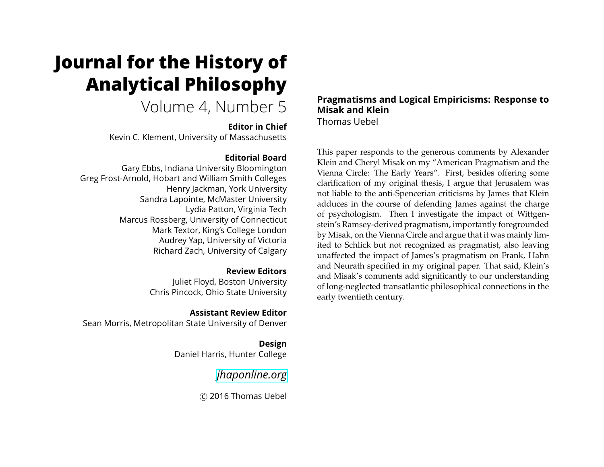# **Journal for the History of Analytical Philosophy**

## Volume 4, Number 5

#### **Editor in Chief**

Kevin C. Klement, University of Massachusetts

#### **Editorial Board**

Gary Ebbs, Indiana University Bloomington Greg Frost-Arnold, Hobart and William Smith Colleges Henry Jackman, York University Sandra Lapointe, McMaster University Lydia Patton, Virginia Tech Marcus Rossberg, University of Connecticut Mark Textor, King's College London Audrey Yap, University of Victoria Richard Zach, University of Calgary

#### **Review Editors**

Juliet Floyd, Boston University Chris Pincock, Ohio State University

#### **Assistant Review Editor**

Sean Morris, Metropolitan State University of Denver

**Design** Daniel Harris, Hunter College

### *[jhaponline.org](https://jhaponline.org)*

c 2016 Thomas Uebel

#### **Pragmatisms and Logical Empiricisms: Response to Misak and Klein** Thomas Uebel

This paper responds to the generous comments by Alexander Klein and Cheryl Misak on my "American Pragmatism and the Vienna Circle: The Early Years". First, besides offering some clarification of my original thesis, I argue that Jerusalem was not liable to the anti-Spencerian criticisms by James that Klein adduces in the course of defending James against the charge of psychologism. Then I investigate the impact of Wittgenstein's Ramsey-derived pragmatism, importantly foregrounded by Misak, on the Vienna Circle and argue that it was mainly limited to Schlick but not recognized as pragmatist, also leaving unaffected the impact of James's pragmatism on Frank, Hahn and Neurath specified in my original paper. That said, Klein's and Misak's comments add significantly to our understanding of long-neglected transatlantic philosophical connections in the early twentieth century.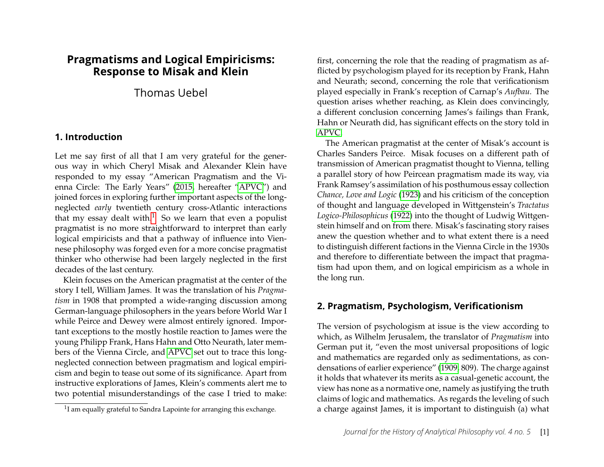#### **Pragmatisms and Logical Empiricisms: Response to Misak and Klein**

Thomas Uebel

#### **1. Introduction**

Let me say first of all that I am very grateful for the generous way in which Cheryl Misak and Alexander Klein have responded to my essay "American Pragmatism and the Vienna Circle: The Early Years" [\(2015,](#page-15-0) hereafter ["APVC"](#page-15-0)) and joined forces in exploring further important aspects of the longneglected *early* twentieth century cross-Atlantic interactions that my essay dealt with.<sup>[1](#page-1-0)</sup> So we learn that even a populist pragmatist is no more straightforward to interpret than early logical empiricists and that a pathway of influence into Viennese philosophy was forged even for a more concise pragmatist thinker who otherwise had been largely neglected in the first decades of the last century.

Klein focuses on the American pragmatist at the center of the story I tell, William James. It was the translation of his *Pragmatism* in 1908 that prompted a wide-ranging discussion among German-language philosophers in the years before World War I while Peirce and Dewey were almost entirely ignored. Important exceptions to the mostly hostile reaction to James were the young Philipp Frank, Hans Hahn and Otto Neurath, later members of the Vienna Circle, and [APVC](#page-15-0) set out to trace this longneglected connection between pragmatism and logical empiricism and begin to tease out some of its significance. Apart from instructive explorations of James, Klein's comments alert me to two potential misunderstandings of the case I tried to make: first, concerning the role that the reading of pragmatism as afflicted by psychologism played for its reception by Frank, Hahn and Neurath; second, concerning the role that verificationism played especially in Frank's reception of Carnap's *Aufbau*. The question arises whether reaching, as Klein does convincingly, a different conclusion concerning James's failings than Frank, Hahn or Neurath did, has significant effects on the story told in [APVC.](#page-15-0)

The American pragmatist at the center of Misak's account is Charles Sanders Peirce. Misak focuses on a different path of transmission of American pragmatist thought to Vienna, telling a parallel story of how Peircean pragmatism made its way, via Frank Ramsey's assimilation of his posthumous essay collection *Chance, Love and Logic* [\(1923\)](#page-14-0) and his criticism of the conception of thought and language developed in Wittgenstein's *Tractatus Logico-Philosophicus* [\(1922\)](#page-15-1) into the thought of Ludwig Wittgenstein himself and on from there. Misak's fascinating story raises anew the question whether and to what extent there is a need to distinguish different factions in the Vienna Circle in the 1930s and therefore to differentiate between the impact that pragmatism had upon them, and on logical empiricism as a whole in the long run.

#### **2. Pragmatism, Psychologism, Verificationism**

The version of psychologism at issue is the view according to which, as Wilhelm Jerusalem, the translator of *Pragmatism* into German put it, "even the most universal propositions of logic and mathematics are regarded only as sedimentations, as condensations of earlier experience" [\(1909,](#page-13-0) 809). The charge against it holds that whatever its merits as a casual-genetic account, the view has none as a normative one, namely as justifying the truth claims of logic and mathematics. As regards the leveling of such a charge against James, it is important to distinguish (a) what

<span id="page-1-0"></span> $1$ I am equally grateful to Sandra Lapointe for arranging this exchange.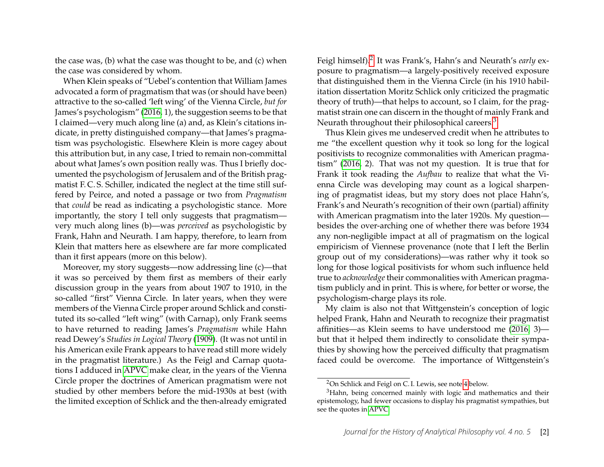the case was, (b) what the case was thought to be, and (c) when the case was considered by whom.

When Klein speaks of "Uebel's contention that William James advocated a form of pragmatism that was (or should have been) attractive to the so-called 'left wing' of the Vienna Circle, *but for* James's psychologism" [\(2016,](#page-14-1) 1), the suggestion seems to be that I claimed—very much along line (a) and, as Klein's citations indicate, in pretty distinguished company—that James's pragmatism was psychologistic. Elsewhere Klein is more cagey about this attribution but, in any case, I tried to remain non-committal about what James's own position really was. Thus I briefly documented the psychologism of Jerusalem and of the British pragmatist F. C. S. Schiller, indicated the neglect at the time still suffered by Peirce, and noted a passage or two from *Pragmatism* that *could* be read as indicating a psychologistic stance. More importantly, the story I tell only suggests that pragmatism very much along lines (b)—was *perceived* as psychologistic by Frank, Hahn and Neurath. I am happy, therefore, to learn from Klein that matters here as elsewhere are far more complicated than it first appears (more on this below).

Moreover, my story suggests—now addressing line (c)—that it was so perceived by them first as members of their early discussion group in the years from about 1907 to 1910, in the so-called "first" Vienna Circle. In later years, when they were members of the Vienna Circle proper around Schlick and constituted its so-called "left wing" (with Carnap), only Frank seems to have returned to reading James's *Pragmatism* while Hahn read Dewey's *Studies in Logical Theory* [\(1909\)](#page-13-1). (It was not until in his American exile Frank appears to have read still more widely in the pragmatist literature.) As the Feigl and Carnap quotations I adduced in [APVC](#page-15-0) make clear, in the years of the Vienna Circle proper the doctrines of American pragmatism were not studied by other members before the mid-1930s at best (with the limited exception of Schlick and the then-already emigrated

Feigl himself).<sup>[2](#page-2-0)</sup> It was Frank's, Hahn's and Neurath's *early* exposure to pragmatism—a largely-positively received exposure that distinguished them in the Vienna Circle (in his 1910 habilitation dissertation Moritz Schlick only criticized the pragmatic theory of truth)—that helps to account, so I claim, for the pragmatist strain one can discern in the thought of mainly Frank and Neurath throughout their philosophical careers.<sup>[3](#page-2-1)</sup>

Thus Klein gives me undeserved credit when he attributes to me "the excellent question why it took so long for the logical positivists to recognize commonalities with American pragmatism" [\(2016,](#page-14-1) 2). That was not my question. It is true that for Frank it took reading the *Aufbau* to realize that what the Vienna Circle was developing may count as a logical sharpening of pragmatist ideas, but my story does not place Hahn's, Frank's and Neurath's recognition of their own (partial) affinity with American pragmatism into the later 1920s. My question besides the over-arching one of whether there was before 1934 any non-negligible impact at all of pragmatism on the logical empiricism of Viennese provenance (note that I left the Berlin group out of my considerations)—was rather why it took so long for those logical positivists for whom such influence held true to *acknowledge* their commonalities with American pragmatism publicly and in print. This is where, for better or worse, the psychologism-charge plays its role.

My claim is also not that Wittgenstein's conception of logic helped Frank, Hahn and Neurath to recognize their pragmatist affinities—as Klein seems to have understood me [\(2016,](#page-14-1) 3) but that it helped them indirectly to consolidate their sympathies by showing how the perceived difficulty that pragmatism faced could be overcome. The importance of Wittgenstein's

<span id="page-2-1"></span><span id="page-2-0"></span><sup>2</sup>On Schlick and Feigl on C. I. Lewis, see note [4](#page-3-0) below.

<sup>&</sup>lt;sup>3</sup>Hahn, being concerned mainly with logic and mathematics and their epistemology, had fewer occasions to display his pragmatist sympathies, but see the quotes in [APVC.](#page-15-0)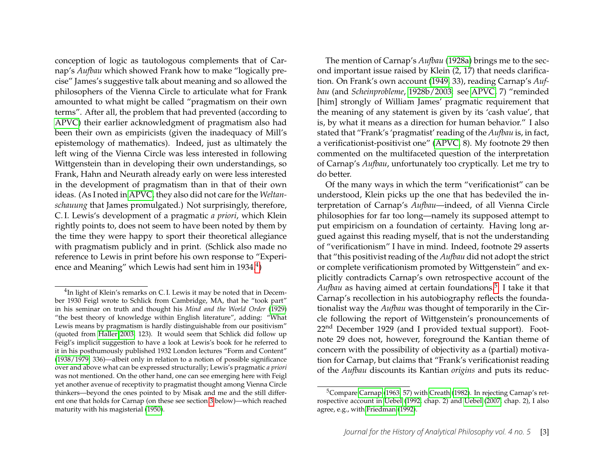conception of logic as tautologous complements that of Carnap's *Aufbau* which showed Frank how to make "logically precise" James's suggestive talk about meaning and so allowed the philosophers of the Vienna Circle to articulate what for Frank amounted to what might be called "pragmatism on their own terms". After all, the problem that had prevented (according to [APVC\)](#page-15-0) their earlier acknowledgment of pragmatism also had been their own as empiricists (given the inadequacy of Mill's epistemology of mathematics). Indeed, just as ultimately the left wing of the Vienna Circle was less interested in following Wittgenstein than in developing their own understandings, so Frank, Hahn and Neurath already early on were less interested in the development of pragmatism than in that of their own ideas. (As I noted in [APVC,](#page-15-0) they also did not care for the *Weltanschauung* that James promulgated.) Not surprisingly, therefore, C. I. Lewis's development of a pragmatic *a priori*, which Klein rightly points to, does not seem to have been noted by them by the time they were happy to sport their theoretical allegiance with pragmatism publicly and in print. (Schlick also made no reference to Lewis in print before his own response to "Experi-ence and Meaning" which Lewis had sent him in 193[4](#page-3-0). $^4)$ 

The mention of Carnap's *Aufbau* [\(1928a\)](#page-13-4) brings me to the second important issue raised by Klein (2, 17) that needs clarification. On Frank's own account [\(1949,](#page-13-5) 33), reading Carnap's *Aufbau* (and *Scheinprobleme*, [1928b/2003:](#page-13-6) see [APVC,](#page-15-0) 7) "reminded [him] strongly of William James' pragmatic requirement that the meaning of any statement is given by its 'cash value', that is, by what it means as a direction for human behavior." I also stated that "Frank's 'pragmatist' reading of the *Aufbau* is, in fact, a verificationist-positivist one" [\(APVC,](#page-15-0) 8). My footnote 29 then commented on the multifaceted question of the interpretation of Carnap's *Aufbau*, unfortunately too cryptically. Let me try to do better.

Of the many ways in which the term "verificationist" can be understood, Klein picks up the one that has bedeviled the interpretation of Carnap's *Aufbau*—indeed, of all Vienna Circle philosophies for far too long—namely its supposed attempt to put empiricism on a foundation of certainty. Having long argued against this reading myself, that is not the understanding of "verificationism" I have in mind. Indeed, footnote 29 asserts that "this positivist reading of the *Aufbau* did not adopt the strict or complete verificationism promoted by Wittgenstein" and explicitly contradicts Carnap's own retrospective account of the Aufbau as having aimed at certain foundations.<sup>[5](#page-3-1)</sup> I take it that Carnap's recollection in his autobiography reflects the foundationalist way the *Aufbau* was thought of temporarily in the Circle following the report of Wittgenstein's pronouncements of 22<sup>nd</sup> December 1929 (and I provided textual support). Footnote 29 does not, however, foreground the Kantian theme of concern with the possibility of objectivity as a (partial) motivation for Carnap, but claims that "Frank's verificationist reading of the *Aufbau* discounts its Kantian *origins* and puts its reduc-

<span id="page-3-0"></span><sup>&</sup>lt;sup>4</sup>In light of Klein's remarks on C.I. Lewis it may be noted that in December 1930 Feigl wrote to Schlick from Cambridge, MA, that he "took part" in his seminar on truth and thought his *Mind and the World Order* [\(1929\)](#page-14-2) "the best theory of knowledge within English literature", adding: "What Lewis means by pragmatism is hardly distinguishable from our positivism" (quoted from [Haller 2003,](#page-13-2) 123). It would seem that Schlick did follow up Feigl's implicit suggestion to have a look at Lewis's book for he referred to it in his posthumously published 1932 London lectures "Form and Content" [\(1938/1979,](#page-15-2) 336)—albeit only in relation to a notion of possible significance over and above what can be expressed structurally; Lewis's pragmatic *a priori* was not mentioned. On the other hand, one can see emerging here with Feigl yet another avenue of receptivity to pragmatist thought among Vienna Circle thinkers—beyond the ones pointed to by Misak and me and the still different one that holds for Carnap (on these see section [3](#page-6-0) below)—which reached maturity with his magisterial [\(1950\)](#page-13-3).

<span id="page-3-1"></span><sup>5</sup>Compare [Carnap \(1963,](#page-13-7) 57) with [Creath \(1982\)](#page-13-8). In rejecting Carnap's retrospective account in [Uebel \(1992,](#page-15-3) chap. 2) and [Uebel \(2007,](#page-15-4) chap. 2), I also agree, e.g., with [Friedman \(1992\)](#page-13-9).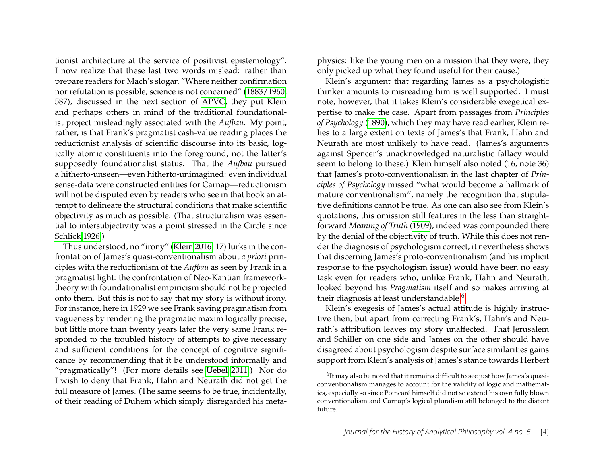tionist architecture at the service of positivist epistemology". I now realize that these last two words mislead: rather than prepare readers for Mach's slogan "Where neither confirmation nor refutation is possible, science is not concerned" [\(1883/1960,](#page-14-3) 587), discussed in the next section of [APVC,](#page-15-0) they put Klein and perhaps others in mind of the traditional foundationalist project misleadingly associated with the *Aufbau*. My point, rather, is that Frank's pragmatist cash-value reading places the reductionist analysis of scientific discourse into its basic, logically atomic constituents into the foreground, not the latter's supposedly foundationalist status. That the *Aufbau* pursued a hitherto-unseen—even hitherto-unimagined: even individual sense-data were constructed entities for Carnap—reductionism will not be disputed even by readers who see in that book an attempt to delineate the structural conditions that make scientific objectivity as much as possible. (That structuralism was essential to intersubjectivity was a point stressed in the Circle since [Schlick 1926.](#page-15-5))

Thus understood, no "irony" [\(Klein 2016,](#page-14-1) 17) lurks in the confrontation of James's quasi-conventionalism about *a priori* principles with the reductionism of the *Aufbau* as seen by Frank in a pragmatist light: the confrontation of Neo-Kantian frameworktheory with foundationalist empiricism should not be projected onto them. But this is not to say that my story is without irony. For instance, here in 1929 we see Frank saving pragmatism from vagueness by rendering the pragmatic maxim logically precise, but little more than twenty years later the very same Frank responded to the troubled history of attempts to give necessary and sufficient conditions for the concept of cognitive significance by recommending that it be understood informally and "pragmatically"! (For more details see [Uebel 2011.](#page-15-6)) Nor do I wish to deny that Frank, Hahn and Neurath did not get the full measure of James. (The same seems to be true, incidentally, of their reading of Duhem which simply disregarded his metaphysics: like the young men on a mission that they were, they only picked up what they found useful for their cause.)

Klein's argument that regarding James as a psychologistic thinker amounts to misreading him is well supported. I must note, however, that it takes Klein's considerable exegetical expertise to make the case. Apart from passages from *Principles of Psychology* [\(1890\)](#page-13-10), which they may have read earlier, Klein relies to a large extent on texts of James's that Frank, Hahn and Neurath are most unlikely to have read. (James's arguments against Spencer's unacknowledged naturalistic fallacy would seem to belong to these.) Klein himself also noted (16, note 36) that James's proto-conventionalism in the last chapter of *Principles of Psychology* missed "what would become a hallmark of mature conventionalism", namely the recognition that stipulative definitions cannot be true. As one can also see from Klein's quotations, this omission still features in the less than straightforward *Meaning of Truth* [\(1909\)](#page-13-11), indeed was compounded there by the denial of the objectivity of truth. While this does not render the diagnosis of psychologism correct, it nevertheless shows that discerning James's proto-conventionalism (and his implicit response to the psychologism issue) would have been no easy task even for readers who, unlike Frank, Hahn and Neurath, looked beyond his *Pragmatism* itself and so makes arriving at their diagnosis at least understandable.<sup>[6](#page-4-0)</sup>

Klein's exegesis of James's actual attitude is highly instructive then, but apart from correcting Frank's, Hahn's and Neurath's attribution leaves my story unaffected. That Jerusalem and Schiller on one side and James on the other should have disagreed about psychologism despite surface similarities gains support from Klein's analysis of James's stance towards Herbert

<span id="page-4-0"></span> $^6$ It may also be noted that it remains difficult to see just how James's quasiconventionalism manages to account for the validity of logic and mathematics, especially so since Poincaré himself did not so extend his own fully blown conventionalism and Carnap's logical pluralism still belonged to the distant future.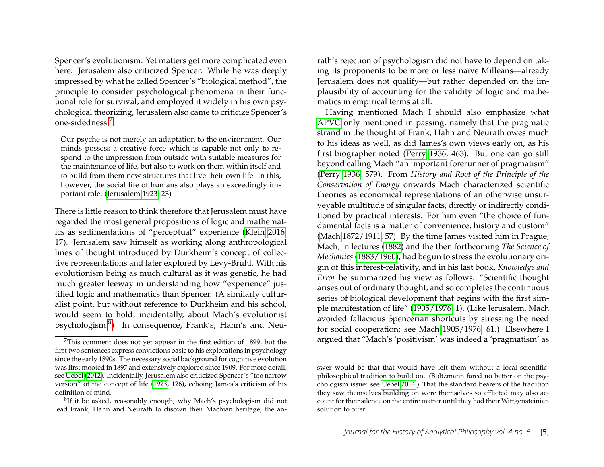Spencer's evolutionism. Yet matters get more complicated even here. Jerusalem also criticized Spencer. While he was deeply impressed by what he called Spencer's "biological method", the principle to consider psychological phenomena in their functional role for survival, and employed it widely in his own psychological theorizing, Jerusalem also came to criticize Spencer's one-sidedness:[7](#page-5-0)

Our psyche is not merely an adaptation to the environment. Our minds possess a creative force which is capable not only to respond to the impression from outside with suitable measures for the maintenance of life, but also to work on them within itself and to build from them new structures that live their own life. In this, however, the social life of humans also plays an exceedingly important role. [\(Jerusalem 1923,](#page-14-4) 23)

There is little reason to think therefore that Jerusalem must have regarded the most general propositions of logic and mathematics as sedimentations of "perceptual" experience [\(Klein 2016,](#page-14-1) 17). Jerusalem saw himself as working along anthropological lines of thought introduced by Durkheim's concept of collective representations and later explored by Levy-Bruhl. With his evolutionism being as much cultural as it was genetic, he had much greater leeway in understanding how "experience" justified logic and mathematics than Spencer. (A similarly culturalist point, but without reference to Durkheim and his school, would seem to hold, incidentally, about Mach's evolutionist psychologism.<sup>[8](#page-5-1)</sup>) In consequence, Frank's, Hahn's and Neurath's rejection of psychologism did not have to depend on taking its proponents to be more or less naïve Milleans—already Jerusalem does not qualify—but rather depended on the implausibility of accounting for the validity of logic and mathematics in empirical terms at all.

Having mentioned Mach I should also emphasize what [APVC](#page-15-0) only mentioned in passing, namely that the pragmatic strand in the thought of Frank, Hahn and Neurath owes much to his ideas as well, as did James's own views early on, as his first biographer noted [\(Perry 1936,](#page-14-5) 463). But one can go still beyond calling Mach "an important forerunner of pragmatism" [\(Perry 1936,](#page-14-5) 579). From *History and Root of the Principle of the Conservation of Energy* onwards Mach characterized scientific theories as economical representations of an otherwise unsurveyable multitude of singular facts, directly or indirectly conditioned by practical interests. For him even "the choice of fundamental facts is a matter of convenience, history and custom" [\(Mach 1872/1911,](#page-14-6) 57). By the time James visited him in Prague, Mach, in lectures [\(1882\)](#page-14-7) and the then forthcoming *The Science of Mechanics* [\(1883/1960\)](#page-14-3), had begun to stress the evolutionary origin of this interest-relativity, and in his last book, *Knowledge and Error* he summarized his view as follows: "Scientific thought arises out of ordinary thought, and so completes the continuous series of biological development that begins with the first simple manifestation of life" [\(1905/1976,](#page-14-8) 1). (Like Jerusalem, Mach avoided fallacious Spencerian shortcuts by stressing the need for social cooperation; see [Mach 1905/1976,](#page-14-8) 61.) Elsewhere I argued that "Mach's 'positivism' was indeed a 'pragmatism' as

<span id="page-5-0"></span> $7$ This comment does not yet appear in the first edition of 1899, but the first two sentences express convictions basic to his explorations in psychology since the early 1890s. The necessary social background for cognitive evolution was first mooted in 1897 and extensively explored since 1909. For more detail, see [Uebel \(2012\)](#page-15-7). Incidentally, Jerusalem also criticized Spencer's "too narrow version" of the concept of life [\(1923,](#page-14-4) 126), echoing James's criticism of his definition of mind.

<span id="page-5-1"></span> ${}^{8}$ If it be asked, reasonably enough, why Mach's psychologism did not lead Frank, Hahn and Neurath to disown their Machian heritage, the an-

swer would be that that would have left them without a local scientificphilosophical tradition to build on. (Boltzmann fared no better on the psychologism issue: see [Uebel 2014.](#page-15-8)) That the standard bearers of the tradition they saw themselves building on were themselves so afflicted may also account for their silence on the entire matter until they had their Wittgensteinian solution to offer.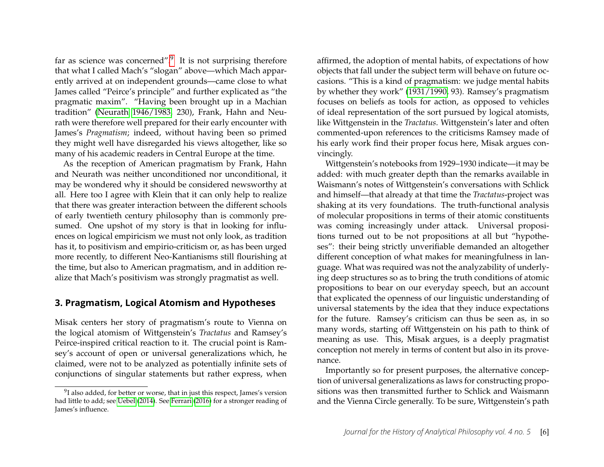far as science was concerned".<sup>[9](#page-6-1)</sup> It is not surprising therefore that what I called Mach's "slogan" above—which Mach apparently arrived at on independent grounds—came close to what James called "Peirce's principle" and further explicated as "the pragmatic maxim". "Having been brought up in a Machian tradition" [\(Neurath 1946/1983,](#page-14-9) 230), Frank, Hahn and Neurath were therefore well prepared for their early encounter with James's *Pragmatism*; indeed, without having been so primed they might well have disregarded his views altogether, like so many of his academic readers in Central Europe at the time.

As the reception of American pragmatism by Frank, Hahn and Neurath was neither unconditioned nor unconditional, it may be wondered why it should be considered newsworthy at all. Here too I agree with Klein that it can only help to realize that there was greater interaction between the different schools of early twentieth century philosophy than is commonly presumed. One upshot of my story is that in looking for influences on logical empiricism we must not only look, as tradition has it, to positivism and empirio-criticism or, as has been urged more recently, to different Neo-Kantianisms still flourishing at the time, but also to American pragmatism, and in addition realize that Mach's positivism was strongly pragmatist as well.

#### <span id="page-6-0"></span>**3. Pragmatism, Logical Atomism and Hypotheses**

Misak centers her story of pragmatism's route to Vienna on the logical atomism of Wittgenstein's *Tractatus* and Ramsey's Peirce-inspired critical reaction to it. The crucial point is Ramsey's account of open or universal generalizations which, he claimed, were not to be analyzed as potentially infinite sets of conjunctions of singular statements but rather express, when affirmed, the adoption of mental habits, of expectations of how objects that fall under the subject term will behave on future occasions. "This is a kind of pragmatism: we judge mental habits by whether they work" [\(1931/1990,](#page-14-10) 93). Ramsey's pragmatism focuses on beliefs as tools for action, as opposed to vehicles of ideal representation of the sort pursued by logical atomists, like Wittgenstein in the *Tractatus*. Wittgenstein's later and often commented-upon references to the criticisms Ramsey made of his early work find their proper focus here, Misak argues convincingly.

Wittgenstein's notebooks from 1929–1930 indicate—it may be added: with much greater depth than the remarks available in Waismann's notes of Wittgenstein's conversations with Schlick and himself—that already at that time the *Tractatus*-project was shaking at its very foundations. The truth-functional analysis of molecular propositions in terms of their atomic constituents was coming increasingly under attack. Universal propositions turned out to be not propositions at all but "hypotheses": their being strictly unverifiable demanded an altogether different conception of what makes for meaningfulness in language. What was required was not the analyzability of underlying deep structures so as to bring the truth conditions of atomic propositions to bear on our everyday speech, but an account that explicated the openness of our linguistic understanding of universal statements by the idea that they induce expectations for the future. Ramsey's criticism can thus be seen as, in so many words, starting off Wittgenstein on his path to think of meaning as use. This, Misak argues, is a deeply pragmatist conception not merely in terms of content but also in its provenance.

Importantly so for present purposes, the alternative conception of universal generalizations as laws for constructing propositions was then transmitted further to Schlick and Waismann and the Vienna Circle generally. To be sure, Wittgenstein's path

<span id="page-6-1"></span> $9$ I also added, for better or worse, that in just this respect, James's version had little to add; see [Uebel \(2014\)](#page-15-8). See [Ferrari](#page-13-12) [\(2016\)](#page-13-12) for a stronger reading of James's influence.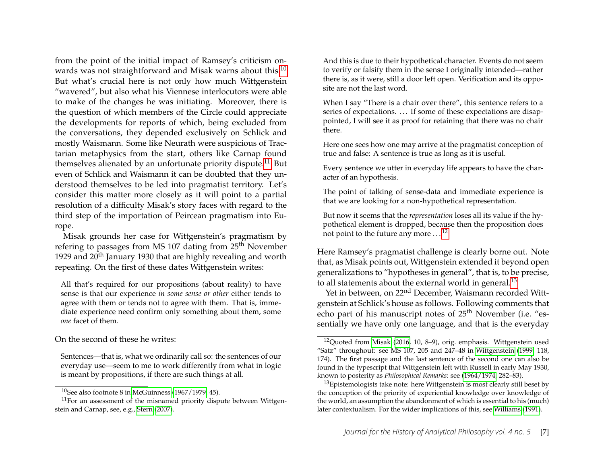from the point of the initial impact of Ramsey's criticism on-wards was not straightforward and Misak warns about this.<sup>[10](#page-7-0)</sup> But what's crucial here is not only how much Wittgenstein "wavered", but also what his Viennese interlocutors were able to make of the changes he was initiating. Moreover, there is the question of which members of the Circle could appreciate the developments for reports of which, being excluded from the conversations, they depended exclusively on Schlick and mostly Waismann. Some like Neurath were suspicious of Tractarian metaphysics from the start, others like Carnap found themselves alienated by an unfortunate priority dispute.<sup>[11](#page-7-1)</sup> But even of Schlick and Waismann it can be doubted that they understood themselves to be led into pragmatist territory. Let's consider this matter more closely as it will point to a partial resolution of a difficulty Misak's story faces with regard to the third step of the importation of Peircean pragmatism into Europe.

Misak grounds her case for Wittgenstein's pragmatism by refering to passages from MS 107 dating from 25<sup>th</sup> November 1929 and  $20<sup>th</sup>$  January 1930 that are highly revealing and worth repeating. On the first of these dates Wittgenstein writes:

All that's required for our propositions (about reality) to have sense is that our experience *in some sense or other* either tends to agree with them or tends not to agree with them. That is, immediate experience need confirm only something about them, some *one* facet of them.

On the second of these he writes:

Sentences—that is, what we ordinarily call so: the sentences of our everyday use—seem to me to work differently from what in logic is meant by propositions, if there are such things at all.

And this is due to their hypothetical character. Events do not seem to verify or falsify them in the sense I originally intended—rather there is, as it were, still a door left open. Verification and its opposite are not the last word.

When I say "There is a chair over there", this sentence refers to a series of expectations. ... If some of these expectations are disappointed, I will see it as proof for retaining that there was no chair there.

Here one sees how one may arrive at the pragmatist conception of true and false: A sentence is true as long as it is useful.

Every sentence we utter in everyday life appears to have the character of an hypothesis.

The point of talking of sense-data and immediate experience is that we are looking for a non-hypothetical representation.

But now it seems that the *representation* loses all its value if the hypothetical element is dropped, because then the proposition does not point to the future any more . . . [12](#page-7-2)

Here Ramsey's pragmatist challenge is clearly borne out. Note that, as Misak points out, Wittgenstein extended it beyond open generalizations to "hypotheses in general", that is, to be precise, to all statements about the external world in general.<sup>[13](#page-7-3)</sup>

Yet in between, on 22<sup>nd</sup> December, Waismann recorded Wittgenstein at Schlick's house as follows. Following comments that echo part of his manuscript notes of 25<sup>th</sup> November (i.e. "essentially we have only one language, and that is the everyday

<span id="page-7-1"></span><span id="page-7-0"></span> $10$ See also footnote 8 in [McGuinness](#page-14-11) [\(1967/1979,](#page-14-11) 45).

 $11$ For an assessment of the misnamed priority dispute between Wittgenstein and Carnap, see, e.g., [Stern](#page-15-9) [\(2007\)](#page-15-9).

<span id="page-7-2"></span><sup>12</sup>Quoted from [Misak \(2016,](#page-14-12) 10, 8–9), orig. emphasis. Wittgenstein used "Satz" throughout: see MS 107, 205 and 247–48 in [Wittgenstein](#page-15-10) [\(1999,](#page-15-10) 118, 174). The first passage and the last sentence of the second one can also be found in the typescript that Wittgenstein left with Russell in early May 1930, known to posterity as *Philosophical Remarks*: see [\(1964/1974,](#page-15-11) 282–83).

<span id="page-7-3"></span> $13E$  Epistemologists take note: here Wittgenstein is most clearly still beset by the conception of the priority of experiential knowledge over knowledge of the world, an assumption the abandonment of which is essential to his (much) later contextualism. For the wider implications of this, see [Williams \(1991\)](#page-15-12).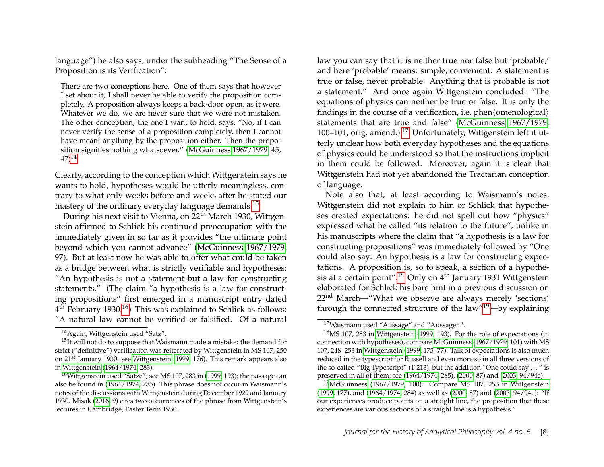language") he also says, under the subheading "The Sense of a Proposition is its Verification":

There are two conceptions here. One of them says that however I set about it, I shall never be able to verify the proposition completely. A proposition always keeps a back-door open, as it were. Whatever we do, we are never sure that we were not mistaken. The other conception, the one I want to hold, says, "No, if I can never verify the sense of a proposition completely, then I cannot have meant anything by the proposition either. Then the proposition signifies nothing whatsoever." [\(McGuinness 1967/1979,](#page-14-11) 45,  $(47)^{14}$  $(47)^{14}$  $(47)^{14}$ 

Clearly, according to the conception which Wittgenstein says he wants to hold, hypotheses would be utterly meaningless, contrary to what only weeks before and weeks after he stated our mastery of the ordinary everyday language demands!<sup>[15](#page-8-1)</sup>

During his next visit to Vienna, on 22<sup>th</sup> March 1930, Wittgenstein affirmed to Schlick his continued preoccupation with the immediately given in so far as it provides "the ultimate point beyond which you cannot advance" [\(McGuinness 1967/1979,](#page-14-11) 97). But at least now he was able to offer what could be taken as a bridge between what is strictly verifiable and hypotheses: "An hypothesis is not a statement but a law for constructing statements." (The claim "a hypothesis is a law for constructing propositions" first emerged in a manuscript entry dated 4<sup>th</sup> February 1930.<sup>[16](#page-8-2)</sup>) This was explained to Schlick as follows: "A natural law cannot be verified or falsified. Of a natural law you can say that it is neither true nor false but 'probable,' and here 'probable' means: simple, convenient. A statement is true or false, never probable. Anything that is probable is not a statement." And once again Wittgenstein concluded: "The equations of physics can neither be true or false. It is only the findings in the course of a verification, i.e. phen $\langle$ omenological $\rangle$ statements that are true and false" [\(McGuinness 1967/1979,](#page-14-11) 100–101, orig. amend.).<sup>[17](#page-8-3)</sup> Unfortunately, Wittgenstein left it utterly unclear how both everyday hypotheses and the equations of physics could be understood so that the instructions implicit in them could be followed. Moreover, again it is clear that Wittgenstein had not yet abandoned the Tractarian conception of language.

Note also that, at least according to Waismann's notes, Wittgenstein did not explain to him or Schlick that hypotheses created expectations: he did not spell out how "physics" expressed what he called "its relation to the future", unlike in his manuscripts where the claim that "a hypothesis is a law for constructing propositions" was immediately followed by "One could also say: An hypothesis is a law for constructing expectations. A proposition is, so to speak, a section of a hypothesis at a certain point".[18](#page-8-4) Only on 4th January 1931 Wittgenstein elaborated for Schlick his bare hint in a previous discussion on 22<sup>nd</sup> March—"What we observe are always merely 'sections' through the connected structure of the law"<sup>[19](#page-8-5)</sup>—by explaining

<span id="page-8-1"></span><span id="page-8-0"></span><sup>14</sup>Again, Wittgenstein used "Satz".

 $15$ It will not do to suppose that Waismann made a mistake: the demand for strict ("definitive") verification was reiterated by Wittgenstein in MS 107, 250 on 21st January 1930: see [Wittgenstein \(1999,](#page-15-10) 176). This remark appears also in [Wittgenstein](#page-15-11) [\(1964/1974,](#page-15-11) 283).

<span id="page-8-2"></span><sup>&</sup>lt;sup>16</sup>Wittgenstein used "Sätze"; see MS 107, 283 in [\(1999,](#page-15-10) 193); the passage can also be found in [\(1964/1974,](#page-15-11) 285). This phrase does not occur in Waismann's notes of the discussions with Wittgenstein during December 1929 and January 1930. Misak [\(2016,](#page-14-12) 9) cites two occurrences of the phrase from Wittgenstein's lectures in Cambridge, Easter Term 1930.

<span id="page-8-4"></span><span id="page-8-3"></span><sup>&</sup>lt;sup>17</sup>Waismann used "Aussage" and "Aussagen".

<sup>18</sup>MS 107, 283 in [Wittgenstein \(1999,](#page-15-10) 193). For the role of expectations (in connection with hypotheses), compare [McGuinness \(1967/1979,](#page-14-11) 101) with MS 107, 248–253 in [Wittgenstein \(1999,](#page-15-10) 175–77). Talk of expectations is also much reduced in the typescript for Russell and even more so in all three versions of the so-called "Big Typescript" (T 213), but the addition "One could say . . . " is preserved in all of them; see [\(1964/1974,](#page-15-11) 285), [\(2000,](#page-15-13) 87) and [\(2003,](#page-15-14) 94/94e).

<span id="page-8-5"></span> $19$ [McGuinness](#page-14-11) [\(1967/1979,](#page-14-11) 100). Compare MS 107, 253 in [Wittgenstein](#page-15-10) [\(1999,](#page-15-10) 177), and [\(1964/1974,](#page-15-11) 284) as well as [\(2000,](#page-15-13) 87) and [\(2003,](#page-15-14) 94/94e): "If our experiences produce points on a straight line, the proposition that these experiences are various sections of a straight line is a hypothesis."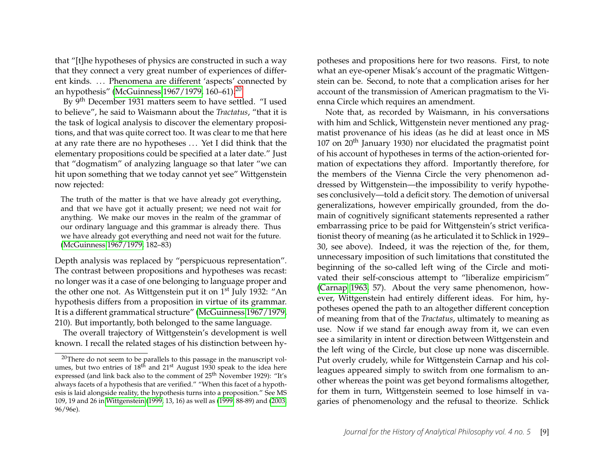that "[t]he hypotheses of physics are constructed in such a way that they connect a very great number of experiences of different kinds. ... Phenomena are different 'aspects' connected by an hypothesis" [\(McGuinness 1967/1979,](#page-14-11) 160–61).[20](#page-9-0)

By 9th December 1931 matters seem to have settled. "I used to believe", he said to Waismann about the *Tractatus*, "that it is the task of logical analysis to discover the elementary propositions, and that was quite correct too. It was clear to me that here at any rate there are no hypotheses . . . Yet I did think that the elementary propositions could be specified at a later date." Just that "dogmatism" of analyzing language so that later "we can hit upon something that we today cannot yet see" Wittgenstein now rejected:

The truth of the matter is that we have already got everything, and that we have got it actually present; we need not wait for anything. We make our moves in the realm of the grammar of our ordinary language and this grammar is already there. Thus we have already got everything and need not wait for the future. [\(McGuinness 1967/1979,](#page-14-11) 182–83)

Depth analysis was replaced by "perspicuous representation". The contrast between propositions and hypotheses was recast: no longer was it a case of one belonging to language proper and the other one not. As Wittgenstein put it on 1<sup>st</sup> July 1932: "An hypothesis differs from a proposition in virtue of its grammar. It is a different grammatical structure" [\(McGuinness 1967/1979,](#page-14-11) 210). But importantly, both belonged to the same language.

The overall trajectory of Wittgenstein's development is well known. I recall the related stages of his distinction between hypotheses and propositions here for two reasons. First, to note what an eye-opener Misak's account of the pragmatic Wittgenstein can be. Second, to note that a complication arises for her account of the transmission of American pragmatism to the Vienna Circle which requires an amendment.

Note that, as recorded by Waismann, in his conversations with him and Schlick, Wittgenstein never mentioned any pragmatist provenance of his ideas (as he did at least once in MS 107 on  $20<sup>th</sup>$  January 1930) nor elucidated the pragmatist point of his account of hypotheses in terms of the action-oriented formation of expectations they afford. Importantly therefore, for the members of the Vienna Circle the very phenomenon addressed by Wittgenstein—the impossibility to verify hypotheses conclusively—told a deficit story. The demotion of universal generalizations, however empirically grounded, from the domain of cognitively significant statements represented a rather embarrassing price to be paid for Wittgenstein's strict verificationist theory of meaning (as he articulated it to Schlick in 1929– 30, see above). Indeed, it was the rejection of the, for them, unnecessary imposition of such limitations that constituted the beginning of the so-called left wing of the Circle and motivated their self-conscious attempt to "liberalize empiricism" [\(Carnap 1963,](#page-13-7) 57). About the very same phenomenon, however, Wittgenstein had entirely different ideas. For him, hypotheses opened the path to an altogether different conception of meaning from that of the *Tractatus*, ultimately to meaning as use. Now if we stand far enough away from it, we can even see a similarity in intent or direction between Wittgenstein and the left wing of the Circle, but close up none was discernible. Put overly crudely, while for Wittgenstein Carnap and his colleagues appeared simply to switch from one formalism to another whereas the point was get beyond formalisms altogether, for them in turn, Wittgenstein seemed to lose himself in vagaries of phenomenology and the refusal to theorize. Schlick

<span id="page-9-0"></span> $20$ There do not seem to be parallels to this passage in the manuscript volumes, but two entries of  $18^{th}$  and  $21^{st}$  August 1930 speak to the idea here expressed (and link back also to the comment of 25<sup>th</sup> November 1929): "It's always facets of a hypothesis that are verified." "When this facet of a hypothesis is laid alongside reality, the hypothesis turns into a proposition." See MS 109, 19 and 26 in [Wittgenstein](#page-15-10) [\(1999,](#page-15-10) 13, 16) as well as [\(1999,](#page-15-10) 88-89) and [\(2003,](#page-15-14) 96/96e).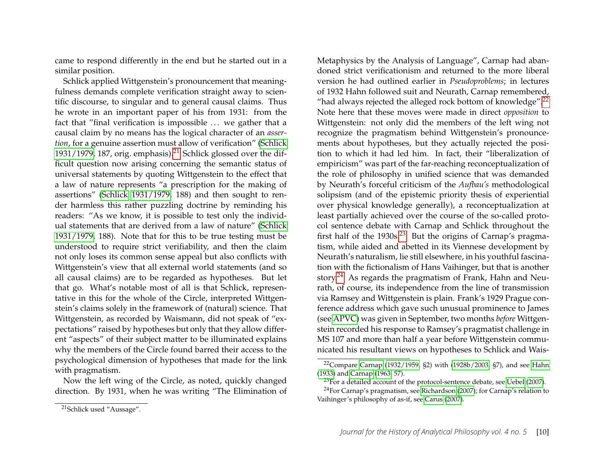came to respond differently in the end but he started out in a similar position.

Schlick applied Wittgenstein's pronouncement that meaningfulness demands complete verification straight away to scientific discourse, to singular and to general causal claims. Thus he wrote in an important paper of his from 1931: from the fact that "final verification is impossible ... we gather that a causal claim by no means has the logical character of an *assertion*, for a genuine assertion must allow of verification" [\(Schlick](#page-15-15)  $1931/1979$ , 187, orig. emphasis).<sup>[21](#page-10-0)</sup> Schlick glossed over the difficult question now arising concerning the semantic status of universal statements by quoting Wittgenstein to the effect that a law of nature represents "a prescription for the making of assertions" [\(Schlick 1931/1979,](#page-15-15) 188) and then sought to render harmless this rather puzzling doctrine by reminding his readers: "As we know, it is possible to test only the individual statements that are derived from a law of nature" [\(Schlick](#page-15-15) [1931/1979,](#page-15-15) 188). Note that for this to be true testing must be understood to require strict verifiability, and then the claim not only loses its common sense appeal but also conflicts with Wittgenstein's view that all external world statements (and so all causal claims) are to be regarded as hypotheses. But let that go. What's notable most of all is that Schlick, representative in this for the whole of the Circle, interpreted Wittgenstein's claims solely in the framework of (natural) science. That Wittgenstein, as recorded by Waismann, did not speak of "expectations" raised by hypotheses but only that they allow different "aspects" of their subject matter to be illuminated explains why the members of the Circle found barred their access to the psychological dimension of hypotheses that made for the link with pragmatism.

Now the left wing of the Circle, as noted, quickly changed direction. By 1931, when he was writing "The Elimination of

Metaphysics by the Analysis of Language", Carnap had abandoned strict verificationism and returned to the more liberal version he had outlined earlier in *Pseudoproblems*; in lectures of 1932 Hahn followed suit and Neurath, Carnap remembered, "had always rejected the alleged rock bottom of knowledge". $^{22}$  $^{22}$  $^{22}$ Note here that these moves were made in direct *opposition* to Wittgenstein: not only did the members of the left wing not recognize the pragmatism behind Wittgenstein's pronouncements about hypotheses, but they actually rejected the position to which it had led him. In fact, their "liberalization of empiricism" was part of the far-reaching reconceptualization of the role of philosophy in unified science that was demanded by Neurath's forceful criticism of the *Aufbau's* methodological solipsism (and of the epistemic priority thesis of experiential over physical knowledge generally), a reconceptualization at least partially achieved over the course of the so-called protocol sentence debate with Carnap and Schlick throughout the first half of the 1930s.<sup>[23](#page-10-2)</sup> But the origins of Carnap's pragmatism, while aided and abetted in its Viennese development by Neurath's naturalism, lie still elsewhere, in his youthful fascination with the fictionalism of Hans Vaihinger, but that is another story.<sup>[24](#page-10-3)</sup> As regards the pragmatism of Frank, Hahn and Neurath, of course, its independence from the line of transmission via Ramsey and Wittgenstein is plain. Frank's 1929 Prague conference address which gave such unusual prominence to James (see [APVC\)](#page-15-0) was given in September, two months *before* Wittgenstein recorded his response to Ramsey's pragmatist challenge in MS 107 and more than half a year before Wittgenstein communicated his resultant views on hypotheses to Schlick and Wais-

<span id="page-10-1"></span><sup>&</sup>lt;sup>22</sup>Compare [Carnap](#page-13-13) [\(1932/1959,](#page-13-13) §2) with [\(1928b/2003,](#page-13-6) §7), and see [Hahn](#page-13-14) [\(1933\)](#page-13-14) and [Carnap \(1963,](#page-13-7) 57).

<span id="page-10-3"></span><span id="page-10-2"></span> $^{23}$ For a detailed account of the protocol-sentence debate, see [Uebel \(2007\)](#page-15-4).

 $^{24}$ For Carnap's pragmatism, see [Richardson \(2007\)](#page-14-13); for Carnap's relation to Vaihinger's philosophy of as-if, see [Carus \(2007\)](#page-13-15).

<span id="page-10-0"></span><sup>21</sup>Schlick used "Aussage".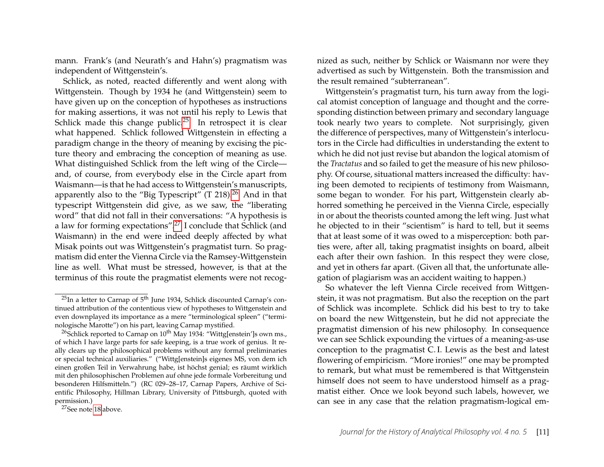mann. Frank's (and Neurath's and Hahn's) pragmatism was independent of Wittgenstein's.

Schlick, as noted, reacted differently and went along with Wittgenstein. Though by 1934 he (and Wittgenstein) seem to have given up on the conception of hypotheses as instructions for making assertions, it was not until his reply to Lewis that Schlick made this change public.<sup>[25](#page-11-0)</sup> In retrospect it is clear what happened. Schlick followed Wittgenstein in effecting a paradigm change in the theory of meaning by excising the picture theory and embracing the conception of meaning as use. What distinguished Schlick from the left wing of the Circle and, of course, from everybody else in the Circle apart from Waismann—is that he had access to Wittgenstein's manuscripts, apparently also to the "Big Typescript"  $(T 218)^{26}$  $(T 218)^{26}$  $(T 218)^{26}$  And in that typescript Wittgenstein did give, as we saw, the "liberating word" that did not fall in their conversations: "A hypothesis is a law for forming expectations".[27](#page-11-2) I conclude that Schlick (and Waismann) in the end were indeed deeply affected by what Misak points out was Wittgenstein's pragmatist turn. So pragmatism did enter the Vienna Circle via the Ramsey-Wittgenstein line as well. What must be stressed, however, is that at the terminus of this route the pragmatist elements were not recognized as such, neither by Schlick or Waismann nor were they advertised as such by Wittgenstein. Both the transmission and the result remained "subterranean".

Wittgenstein's pragmatist turn, his turn away from the logical atomist conception of language and thought and the corresponding distinction between primary and secondary language took nearly two years to complete. Not surprisingly, given the difference of perspectives, many of Wittgenstein's interlocutors in the Circle had difficulties in understanding the extent to which he did not just revise but abandon the logical atomism of the *Tractatus* and so failed to get the measure of his new philosophy. Of course, situational matters increased the difficulty: having been demoted to recipients of testimony from Waismann, some began to wonder. For his part, Wittgenstein clearly abhorred something he perceived in the Vienna Circle, especially in or about the theorists counted among the left wing. Just what he objected to in their "scientism" is hard to tell, but it seems that at least some of it was owed to a misperception: both parties were, after all, taking pragmatist insights on board, albeit each after their own fashion. In this respect they were close, and yet in others far apart. (Given all that, the unfortunate allegation of plagiarism was an accident waiting to happen.)

So whatever the left Vienna Circle received from Wittgenstein, it was not pragmatism. But also the reception on the part of Schlick was incomplete. Schlick did his best to try to take on board the new Wittgenstein, but he did not appreciate the pragmatist dimension of his new philosophy. In consequence we can see Schlick expounding the virtues of a meaning-as-use conception to the pragmatist C. I. Lewis as the best and latest flowering of empiricism. "More ironies!" one may be prompted to remark, but what must be remembered is that Wittgenstein himself does not seem to have understood himself as a pragmatist either. Once we look beyond such labels, however, we can see in any case that the relation pragmatism-logical em-

<span id="page-11-0"></span> $25$ In a letter to Carnap of  $5<sup>th</sup>$  June 1934, Schlick discounted Carnap's continued attribution of the contentious view of hypotheses to Wittgenstein and even downplayed its importance as a mere "terminological spleen" ("terminologische Marotte") on his part, leaving Carnap mystified.

<span id="page-11-1"></span><sup>&</sup>lt;sup>26</sup>Schlick reported to Carnap on  $10^{th}$  May 1934: "Wittg[enstein']s own ms., of which I have large parts for safe keeping, is a true work of genius. It really clears up the philosophical problems without any formal preliminaries or special technical auxiliaries." ("Wittg[enstein]s eigenes MS, von dem ich einen großen Teil in Verwahrung habe, ist höchst genial; es räumt wirklich mit den philosophischen Problemen auf ohne jede formale Vorbereitung und besonderen Hilfsmitteln.") (RC 029–28–17, Carnap Papers, Archive of Scientific Philosophy, Hillman Library, University of Pittsburgh, quoted with permission.)

<span id="page-11-2"></span><sup>27</sup>See note [18](#page-8-4) above.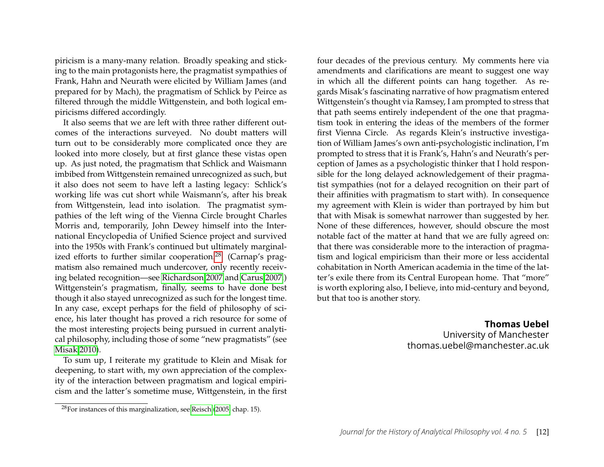piricism is a many-many relation. Broadly speaking and sticking to the main protagonists here, the pragmatist sympathies of Frank, Hahn and Neurath were elicited by William James (and prepared for by Mach), the pragmatism of Schlick by Peirce as filtered through the middle Wittgenstein, and both logical empiricisms differed accordingly.

It also seems that we are left with three rather different outcomes of the interactions surveyed. No doubt matters will turn out to be considerably more complicated once they are looked into more closely, but at first glance these vistas open up. As just noted, the pragmatism that Schlick and Waismann imbibed from Wittgenstein remained unrecognized as such, but it also does not seem to have left a lasting legacy: Schlick's working life was cut short while Waismann's, after his break from Wittgenstein, lead into isolation. The pragmatist sympathies of the left wing of the Vienna Circle brought Charles Morris and, temporarily, John Dewey himself into the International Encyclopedia of Unified Science project and survived into the 1950s with Frank's continued but ultimately marginal-ized efforts to further similar cooperation.<sup>[28](#page-12-0)</sup> (Carnap's pragmatism also remained much undercover, only recently receiving belated recognition—see [Richardson 2007](#page-14-13) and [Carus 2007.](#page-13-15)) Wittgenstein's pragmatism, finally, seems to have done best though it also stayed unrecognized as such for the longest time. In any case, except perhaps for the field of philosophy of science, his later thought has proved a rich resource for some of the most interesting projects being pursued in current analytical philosophy, including those of some "new pragmatists" (see [Misak 2010\)](#page-14-14).

To sum up, I reiterate my gratitude to Klein and Misak for deepening, to start with, my own appreciation of the complexity of the interaction between pragmatism and logical empiricism and the latter's sometime muse, Wittgenstein, in the first

four decades of the previous century. My comments here via amendments and clarifications are meant to suggest one way in which all the different points can hang together. As regards Misak's fascinating narrative of how pragmatism entered Wittgenstein's thought via Ramsey, I am prompted to stress that that path seems entirely independent of the one that pragmatism took in entering the ideas of the members of the former first Vienna Circle. As regards Klein's instructive investigation of William James's own anti-psychologistic inclination, I'm prompted to stress that it is Frank's, Hahn's and Neurath's perception of James as a psychologistic thinker that I hold responsible for the long delayed acknowledgement of their pragmatist sympathies (not for a delayed recognition on their part of their affinities with pragmatism to start with). In consequence my agreement with Klein is wider than portrayed by him but that with Misak is somewhat narrower than suggested by her. None of these differences, however, should obscure the most notable fact of the matter at hand that we are fully agreed on: that there was considerable more to the interaction of pragmatism and logical empiricism than their more or less accidental cohabitation in North American academia in the time of the latter's exile there from its Central European home. That "more" is worth exploring also, I believe, into mid-century and beyond, but that too is another story.

#### **Thomas Uebel**

University of Manchester thomas.uebel@manchester.ac.uk

<span id="page-12-0"></span> $28$ For instances of this marginalization, see [Reisch \(2005,](#page-14-15) chap. 15).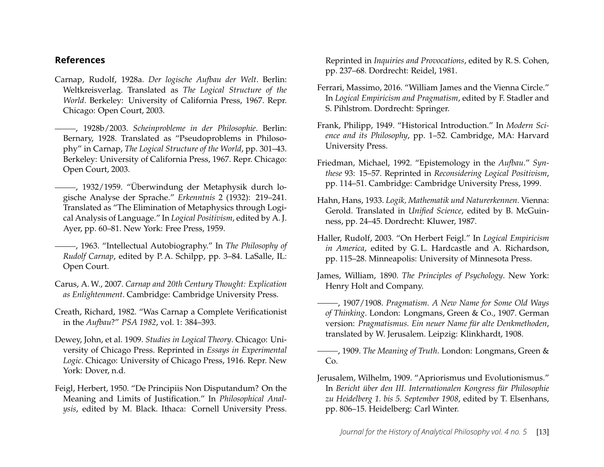#### **References**

- <span id="page-13-4"></span>Carnap, Rudolf, 1928a. *Der logische Aufbau der Welt*. Berlin: Weltkreisverlag. Translated as *The Logical Structure of the World*. Berkeley: University of California Press, 1967. Repr. Chicago: Open Court, 2003.
- <span id="page-13-6"></span>, 1928b/2003. *Scheinprobleme in der Philosophie*. Berlin: Bernary, 1928. Translated as "Pseudoproblems in Philosophy" in Carnap, *The Logical Structure of the World*, pp. 301–43. Berkeley: University of California Press, 1967. Repr. Chicago: Open Court, 2003.
- <span id="page-13-13"></span>, 1932/1959. "Überwindung der Metaphysik durch logische Analyse der Sprache." *Erkenntnis* 2 (1932): 219–241. Translated as "The Elimination of Metaphysics through Logical Analysis of Language." In *Logical Positivism*, edited by A. J. Ayer, pp. 60–81. New York: Free Press, 1959.
- <span id="page-13-7"></span>, 1963. "Intellectual Autobiography." In *The Philosophy of Rudolf Carnap*, edited by P. A. Schilpp, pp. 3–84. LaSalle, IL: Open Court.
- <span id="page-13-15"></span>Carus, A.W., 2007. *Carnap and 20th Century Thought: Explication as Enlightenment*. Cambridge: Cambridge University Press.
- <span id="page-13-8"></span>Creath, Richard, 1982. "Was Carnap a Complete Verificationist in the *Aufbau*?" *PSA 1982*, vol. 1: 384–393.
- <span id="page-13-1"></span>Dewey, John, et al. 1909. *Studies in Logical Theory*. Chicago: University of Chicago Press. Reprinted in *Essays in Experimental Logic*. Chicago: University of Chicago Press, 1916. Repr. New York: Dover, n.d.
- <span id="page-13-3"></span>Feigl, Herbert, 1950. "De Principiis Non Disputandum? On the Meaning and Limits of Justification." In *Philosophical Analysis*, edited by M. Black. Ithaca: Cornell University Press.

Reprinted in *Inquiries and Provocations*, edited by R. S. Cohen, pp. 237–68. Dordrecht: Reidel, 1981.

- <span id="page-13-12"></span>Ferrari, Massimo, 2016. "William James and the Vienna Circle." In *Logical Empiricism and Pragmatism*, edited by F. Stadler and S. Pihlstrom. Dordrecht: Springer.
- <span id="page-13-5"></span>Frank, Philipp, 1949. "Historical Introduction." In *Modern Science and its Philosophy*, pp. 1–52. Cambridge, MA: Harvard University Press.
- <span id="page-13-9"></span>Friedman, Michael, 1992. "Epistemology in the *Aufbau*." *Synthese* 93: 15–57. Reprinted in *Reconsidering Logical Positivism*, pp. 114–51. Cambridge: Cambridge University Press, 1999.
- <span id="page-13-14"></span>Hahn, Hans, 1933. *Logik, Mathematik und Naturerkennen*. Vienna: Gerold. Translated in *Unified Science*, edited by B. McGuinness, pp. 24–45. Dordrecht: Kluwer, 1987.
- <span id="page-13-2"></span>Haller, Rudolf, 2003. "On Herbert Feigl." In *Logical Empiricism in America*, edited by G. L. Hardcastle and A. Richardson, pp. 115–28. Minneapolis: University of Minnesota Press.
- <span id="page-13-10"></span>James, William, 1890. *The Principles of Psychology*. New York: Henry Holt and Company.
- , 1907/1908. *Pragmatism. A New Name for Some Old Ways of Thinking*. London: Longmans, Green & Co., 1907. German version: *Pragmatismus. Ein neuer Name für alte Denkmethoden*, translated by W. Jerusalem. Leipzig: Klinkhardt, 1908.
- <span id="page-13-11"></span>, 1909. *The Meaning of Truth*. London: Longmans, Green & Co.
- <span id="page-13-0"></span>Jerusalem, Wilhelm, 1909. "Apriorismus und Evolutionismus." In *Bericht über den III. Internationalen Kongress für Philosophie zu Heidelberg 1. bis 5. September 1908*, edited by T. Elsenhans, pp. 806–15. Heidelberg: Carl Winter.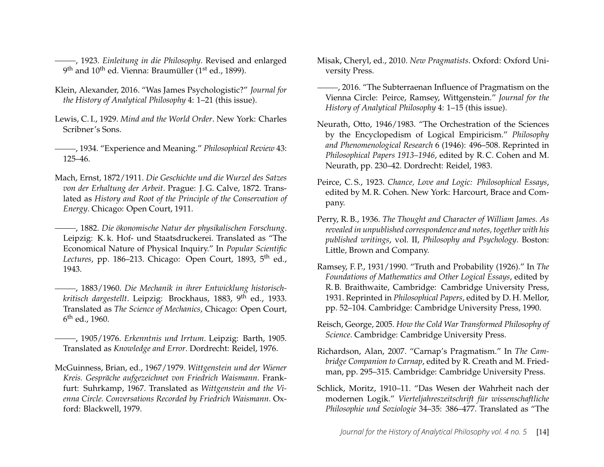<span id="page-14-4"></span>, 1923. *Einleitung in die Philosophy*. Revised and enlarged 9<sup>th</sup> and 10<sup>th</sup> ed. Vienna: Braumüller (1<sup>st</sup> ed., 1899).

- <span id="page-14-1"></span>Klein, Alexander, 2016. "Was James Psychologistic?" *Journal for the History of Analytical Philosophy* 4: 1–21 (this issue).
- <span id="page-14-2"></span>Lewis, C. I., 1929. *Mind and the World Order*. New York: Charles Scribner's Sons.
- , 1934. "Experience and Meaning." *Philosophical Review* 43: 125–46.
- <span id="page-14-6"></span>Mach, Ernst, 1872/1911. *Die Geschichte und die Wurzel des Satzes von der Erhaltung der Arbeit*. Prague: J. G. Calve, 1872. Translated as *History and Root of the Principle of the Conservation of Energy*. Chicago: Open Court, 1911.

<span id="page-14-7"></span>, 1882. *Die ökonomische Natur der physikalischen Forschung*. Leipzig: K. k. Hof- und Staatsdruckerei. Translated as "The Economical Nature of Physical Inquiry." In *Popular Scientific* Lectures, pp. 186–213. Chicago: Open Court, 1893, 5<sup>th</sup> ed., 1943.

- <span id="page-14-3"></span>, 1883/1960. *Die Mechanik in ihrer Entwicklung historischkritisch dargestellt*. Leipzig: Brockhaus, 1883, 9th ed., 1933. Translated as *The Science of Mechanics*, Chicago: Open Court, 6 th ed., 1960.
- <span id="page-14-8"></span>, 1905/1976. *Erkenntnis und Irrtum*. Leipzig: Barth, 1905. Translated as *Knowledge and Error*. Dordrecht: Reidel, 1976.
- <span id="page-14-11"></span>McGuinness, Brian, ed., 1967/1979. *Wittgenstein und der Wiener Kreis. Gespräche aufgezeichnet von Friedrich Waismann*. Frankfurt: Suhrkamp, 1967. Translated as *Wittgenstein and the Vienna Circle. Conversations Recorded by Friedrich Waismann*. Oxford: Blackwell, 1979.
- <span id="page-14-14"></span>Misak, Cheryl, ed., 2010. *New Pragmatists*. Oxford: Oxford University Press.
- <span id="page-14-12"></span>, 2016. "The Subterraenan Influence of Pragmatism on the Vienna Circle: Peirce, Ramsey, Wittgenstein." *Journal for the History of Analytical Philosophy* 4: 1–15 (this issue).
- <span id="page-14-9"></span>Neurath, Otto, 1946/1983. "The Orchestration of the Sciences by the Encyclopedism of Logical Empiricism." *Philosophy and Phenomenological Research* 6 (1946): 496–508. Reprinted in *Philosophical Papers 1913–1946*, edited by R. C. Cohen and M. Neurath, pp. 230–42. Dordrecht: Reidel, 1983.
- <span id="page-14-0"></span>Peirce, C. S., 1923. *Chance, Love and Logic: Philosophical Essays*, edited by M. R. Cohen. New York: Harcourt, Brace and Company.
- <span id="page-14-5"></span>Perry, R. B., 1936. *The Thought and Character of William James. As revealed in unpublished correspondence and notes, together with his published writings*, vol. II, *Philosophy and Psychology*. Boston: Little, Brown and Company.
- <span id="page-14-10"></span>Ramsey, F. P., 1931/1990. "Truth and Probability (1926)." In *The Foundations of Mathematics and Other Logical Essays*, edited by R. B. Braithwaite, Cambridge: Cambridge University Press, 1931. Reprinted in *Philosophical Papers*, edited by D. H. Mellor, pp. 52–104. Cambridge: Cambridge University Press, 1990.
- <span id="page-14-15"></span>Reisch, George, 2005. *How the Cold War Transformed Philosophy of Science*. Cambridge: Cambridge University Press.
- <span id="page-14-13"></span>Richardson, Alan, 2007. "Carnap's Pragmatism." In *The Cambridge Companion to Carnap*, edited by R. Creath and M. Friedman, pp. 295–315. Cambridge: Cambridge University Press.
- Schlick, Moritz, 1910–11. "Das Wesen der Wahrheit nach der modernen Logik." *Vierteljahreszeitschrift für wissenschaftliche Philosophie und Soziologie* 34–35: 386–477. Translated as "The